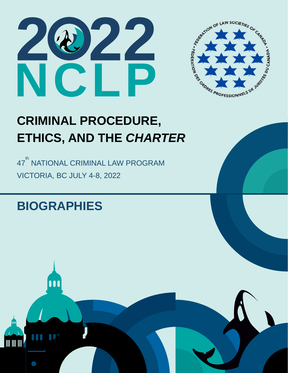



# **CRIMINAL PROCEDURE, ETHICS, AND THE** *CHARTER*

47<sup>th</sup> NATIONAL CRIMINAL LAW PROGRAM VICTORIA, BC JULY 4-8, 2022

# **BIOGRAPHIES**

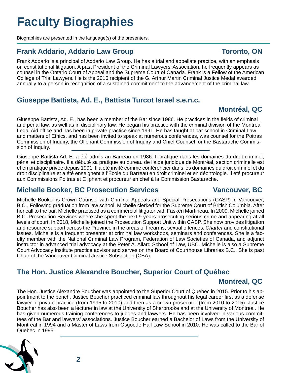# **Faculty Biographies**

Biographies are presented in the language(s) of the presenters.

# **Frank Addario, Addario Law Group Toronto, ON**

Frank Addario is a principal of Addario Law Group. He has a trial and appellate practice, with an emphasis on constitutional litigation. A past President of the Criminal Lawyers' Association, he frequently appears as counsel in the Ontario Court of Appeal and the Supreme Court of Canada. Frank is a Fellow of the American College of Trial Lawyers. He is the 2016 recipient of the G. Arthur Martin Criminal Justice Medal awarded annually to a person in recognition of a sustained commitment to the advancement of the criminal law.

# **Giuseppe Battista, Ad. E., Battista Turcot Israel s.e.n.c.**

Giuseppe Battista, Ad. E., has been a member of the Bar since 1986. He practices in the fields of criminal and penal law, as well as in disciplinary law. He began his practice with the criminal division of the Montreal Legal Aid office and has been in private practice since 1991. He has taught at bar school in Criminal Law and matters of Ethics, and has been invited to speak at numerous conferences, was counsel for the Poitras Commission of Inquiry, the Oliphant Commission of Inquiry and Chief Counsel for the Bastarache Commission of Inquiry.

Giuseppe Battista Ad. E. a été admis au Barreau en 1986. Il pratique dans les domaines du droit criminel, pénal et disciplinaire. Il a débuté sa pratique au bureau de l'aide juridique de Montréal, section criminelle est et en pratique privée depuis 1991. Il a été invité comme conférencier dans les domaines du droit criminel et du droit disciplinaire et a été enseignent à l'École du Barreau en droit criminel et en déontologie. Il été procureur aux Commissions Poitras et Oliphant et procureur en chef à la Commission Bastarache.

### **Michelle Booker, BC Prosecution Services Vancouver, BC**

Michelle Booker is Crown Counsel with Criminal Appeals and Special Prosecutions (CASP) in Vancouver, B.C.. Following graduation from law school, Michelle clerked for the Supreme Court of British Columbia. After her call to the bar, Michelle practised as a commercial litigator with Fasken Martineau. In 2009, Michelle joined B.C. Prosecution Services where she spent the next 9 years prosecuting serious crime and appearing at all levels of court. In 2018, Michelle joined the Prosecution Support Unit within CASP. She now provides litigation and resource support across the Province in the areas of firearms, sexual offences, *Charter* and constitutional issues. Michelle is a frequent presenter at criminal law workshops, seminars and conferences. She is a faculty member with the National Criminal Law Program, Federation of Law Societies of Canada, and adjunct instructor in advanced trial advocacy at the Peter A. Allard School of Law, UBC. Michelle is also a Supreme Court Advocacy Institute practice advisor and serves on the Board of Courthouse Libraries B.C.. She is past Chair of the Vancouver Criminal Justice Subsection (CBA).

# **The Hon. Justice Alexandre Boucher, Superior Court of Québec**

# **Montreal, QC**

The Hon. Justice Alexandre Boucher was appointed to the Superior Court of Quebec in 2015. Prior to his appointment to the bench, Justice Boucher practiced criminal law throughout his legal career first as a defense lawyer in private practice (from 1995 to 2010) and then as a crown prosecutor (from 2010 to 2015). Justice Boucher has also been a lecturer in law at the University of Sherbrooke and at the University of Montreal. He has given numerous training conferences to judges and lawyers. He has been involved in various committees of the Bar and lawyers' associations. Justice Boucher earned a Bachelor of Laws from the University of Montreal in 1994 and a Master of Laws from Osgoode Hall Law School in 2010. He was called to the Bar of Quebec in 1995.



**Montréal, QC**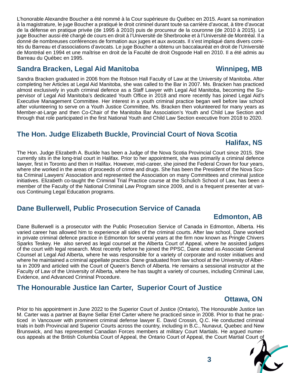L'honorable Alexandre Boucher a été nommé à la Cour supérieure du Québec en 2015. Avant sa nomination à la magistrature, le juge Boucher a pratiqué le droit criminel durant toute sa carrière d'avocat, à titre d'avocat de la défense en pratique privée (de 1995 à 2010) puis de procureur de la couronne (de 2010 à 2015). Le juge Boucher aussi été chargé de cours en droit à l'Université de Sherbrooke et à l'Université de Montréal. Il a donné de nombreuses conférences de formation aux juges et aux avocats. Il s'est impliqué dans divers comités du Barreau et d'associations d'avocats. Le juge Boucher a obtenu un baccalauréat en droit de l'Université de Montréal en 1994 et une maîtrise en droit de la Faculté de droit Osgoode Hall en 2010. Il a été admis au Barreau du Québec en 1995.

### **Sandra Bracken, Legal Aid Manitoba Winnipeg, MB**

Sandra Bracken graduated in 2006 from the Robson Hall Faculty of Law at the University of Manitoba. After completing her Articles at Legal Aid Manitoba, she was called to the Bar in 2007. Ms. Bracken has practiced almost exclusively in youth criminal defence as a Staff Lawyer with Legal Aid Manitoba, becoming the Supervisor of Legal Aid Manitoba's dedicated Youth Office in 2018 and more recently has joined Legal Aid's Executive Management Committee. Her interest in a youth criminal practice began well before law school after volunteering to serve on a Youth Justice Committee, Ms. Bracken then volunteered for many years as Member-at-Large and then Co-Chair of the Manitoba Bar Association's Youth and Child Law Section and through that role participated in the first National Youth and Child Law Section executive from 2018 to 2020.

# **The Hon. Judge Elizabeth Buckle, Provincial Court of Nova Scotia Halifax, NS**

The Hon. Judge Elizabeth A. Buckle has been a Judge of the Nova Scotia Provincial Court since 2015. She currently sits in the long-trial court in Halifax. Prior to her appointment, she was primarily a criminal defence lawyer, first in Toronto and then in Halifax. However, mid-career, she joined the Federal Crown for four years, where she worked in the areas of proceeds of crime and drugs. She has been the President of the Nova Scotia Criminal Lawyers' Association and represented the Association on many Committees and criminal justice initiatives. Elizabeth co-taught the Criminal Trial Practice course at the Schulich School of Law, has been a member of the Faculty of the National Criminal Law Program since 2009, and is a frequent presenter at various Continuing Legal Education programs.

# **Dane Bullerwell, Public Prosecution Service of Canada**

#### **Edmonton, AB**

Dane Bullerwell is a prosecutor with the Public Prosecution Service of Canada in Edmonton, Alberta. His varied career has allowed him to experience all sides of the criminal courts. After law school, Dane worked in private criminal defence practice in Edmonton for several years at the firm now known as Pringle Chivers Sparks Teskey. He also served as legal counsel at the Alberta Court of Appeal, where he assisted judges of the court with legal research. Most recently before he joined the PPSC, Dane acted as Associate General Counsel at Legal Aid Alberta, where he was responsible for a variety of corporate and roster initiatives and where he maintained a criminal appellate practice. Dane graduated from law school at the University of Alberta in 2009 and articled with the Court of Queen's Bench of Alberta. He remains a sessional instructor at the Faculty of Law of the University of Alberta, where he has taught a variety of courses, including Criminal Law, Evidence, and Advanced Criminal Procedure.

# **The Honourable Justice Ian Carter, Superior Court of Justice**

#### **Ottawa, ON**

Prior to his appointment in June 2022 to the Superior Court of Justice (Ontario), The Honourable Justice Ian M. Carter was a partner at Bayne Sellar Ertel Carter where he practiced since in 2008. Prior to that he practiced in Vancouver with prominent criminal defense lawyer E. David Crossin, Q.C. He conducted criminal trials in both Provincial and Superior Courts across the country, including in B.C., Nunavut, Quebec and New Brunswick, and has represented Canadian Forces members at military Court Martials. He argued numerous appeals at the British Columbia Court of Appeal, the Ontario Court of Appeal, the Court Martial Court of

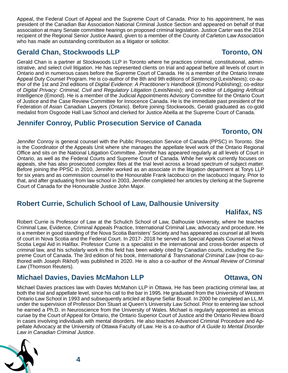Appeal, the Federal Court of Appeal and the Supreme Court of Canada. Prior to his appointment, he was president of the Canadian Bar Association National Criminal Justice Section and appeared on behalf of that association at many Senate committee hearings on proposed criminal legislation. Justice Carter was the 2014 recipient of the Regional Senior Justice Award, given to a member of the County of Carleton Law Association who has made an outstanding contribution as a litigator or solicitor.

### **Gerald Chan, Stockwoods LLP Toronto, ON**

#### Gerald Chan is a partner at Stockwoods LLP in Toronto where he practices criminal, constitutional, administrative, and select civil litigation. He has represented clients on trial and appeal before all levels of court in Ontario and in numerous cases before the Supreme Court of Canada. He is a member of the Ontario Inmate Appeal Duty Counsel Program. He is co-author of the 8th and 9th editions of *Sentencing* (LexisNexis); co-author of the 1st and 2nd editions of *Digital Evidence: A Practitioner's Handbook* (Emond Publishing); co-editor of *Digital Privacy: Criminal, Civil and Regulatory Litigation* (LexisNexis); and co-editor of *Litigating Artificial Intelligence* (Emond). He is a member of the Judicial Appointments Advisory Committee for the Ontario Court of Justice and the Case Review Committee for Innocence Canada. He is the immediate past president of the Federation of Asian Canadian Lawyers (Ontario). Before joining Stockwoods, Gerald graduated as co-gold medalist from Osgoode Hall Law School and clerked for Justice Abella at the Supreme Court of Canada.

### **Jennifer Conroy, Public Prosecution Service of Canada**

# **Toronto, ON**

Jennifer Conroy is general counsel with the Public Prosecution Service of Canada (PPSC) in Toronto. She is the Coordinator of the Appeals Unit where she manages the appellate level work of the Ontario Regional Office and sits on the National Litigation Committee. Jennifer has appeared regularly at all levels of Court in Ontario, as well as the Federal Courts and Supreme Court of Canada. While her work currently focuses on appeals, she has also prosecuted complex files at the trial level across a broad spectrum of subject matter. Before joining the PPSC in 2010, Jennifer worked as an associate in the litigation department at Torys LLP for six years and as commission counsel to the Honourable Frank Iacobucci on the Iacobucci Inquiry. Prior to that, and after graduating from law school in 2003, Jennifer completed her articles by clerking at the Supreme Court of Canada for the Honourable Justice John Major.

# **Robert Currie, Schulich School of Law, Dalhousie University**

# **Halifax, NS**

Robert Currie is Professor of Law at the Schulich School of Law, Dalhousie University, where he teaches Criminal Law, Evidence, Criminal Appeals Practice, International Criminal Law, advocacy and procedure. He is a member in good standing of the Nova Scotia Barristers' Society and has appeared as counsel at all levels of court in Nova Scotia and the Federal Court. In 2017- 2018 he served as Special Appeals Counsel at Nova Scotia Legal Aid in Halifax. Professor Currie is a specialist in the international and cross-border aspects of criminal law, and his scholarly work in this field has been widely cited by Canadian courts, including the Supreme Court of Canada. The 3rd edition of his book, *International & Transnational Criminal Law* (now co-authored with Joseph Rikhof) was published in 2020. He is also a co-author of the *Annual Review of Criminal Law* (Thomson Reuters).

# **Michael Davies, Davies McMahon LLP CONDITION CONDITIONS ON**

**4**

Michael Davies practices law with Davies McMahon LLP in Ottawa. He has been practicing criminal law, at both the trial and appellate level, since his call to the bar in 1995. He graduated from the University of Western Ontario Law School in 1993 and subsequently articled at Bayne Sellar Boxall. In 2000 he completed an LL.M. under the supervision of Professor Don Stuart at Queen's University Law School. Prior to entering law school he earned a Ph.D. in Neuroscience from the University of Wales. Michael is regularly appointed as amicus curiae by the Court of Appeal for Ontario, the Ontario Superior Court of Justice and the Ontario Review Board in cases involving individuals with mental disorders. He also teaches Advanced Criminal Procedure and Appellate Advocacy at the University of Ottawa Faculty of Law. He is a co-author of *A Guide to Mental Disorder Law in Canadian Criminal Justice*.



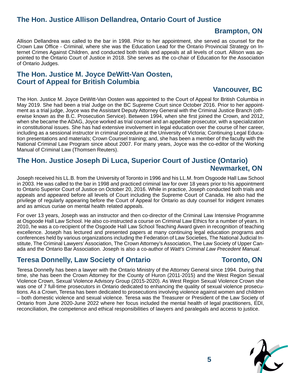# **The Hon. Justice Allison Dellandrea, Ontario Court of Justice**

#### **Brampton, ON**

Allison Dellandrea was called to the bar in 1998. Prior to her appointment, she served as counsel for the Crown Law Office - Criminal, where she was the Education Lead for the Ontario Provincial Strategy on Internet Crimes Against Children, and conducted both trials and appeals at all levels of court. Allison was appointed to the Ontario Court of Justice in 2018. She serves as the co-chair of Education for the Association of Ontario Judges.

#### **The Hon. Justice M. Joyce DeWitt-Van Oosten, Court of Appeal for British Columbia**

#### **Vancouver, BC**

The Hon. Justice M. Joyce DeWitt-Van Oosten was appointed to the Court of Appeal for British Columbia in May 2019. She had been a trial Judge on the BC Supreme Court since October 2016. Prior to her appointment as a trial judge, Joyce was the Assistant Deputy Attorney General with the Criminal Justice Branch (otherwise known as the B.C. Prosecution Service). Between 1994, when she first joined the Crown, and 2012, when she became the ADAG, Joyce worked as trial counsel and an appellate prosecutor, with a specialization in constitutional issues. She has had extensive involvement in legal education over the course of her career, including as a sessional instructor in criminal procedure at the University of Victoria; Continuing Legal Education presentations and materials; Crown Counsel training; and, she has been a member of the faculty with the National Criminal Law Program since about 2007. For many years, Joyce was the co-editor of the Working Manual of Criminal Law (Thomsen Reuters).

#### **The Hon. Justice Joseph Di Luca, Superior Court of Justice (Ontario) Newmarket, ON**

Joseph received his LL.B. from the University of Toronto in 1996 and his LL.M. from Osgoode Hall Law School in 2003. He was called to the bar in 1998 and practiced criminal law for over 18 years prior to his appointment to Ontario Superior Court of Justice on October 20, 2016. While in practice, Joseph conducted both trials and appeals and appeared before all levels of Court including the Supreme Court of Canada. He also had the privilege of regularly appearing before the Court of Appeal for Ontario as duty counsel for indigent inmates and as amicus curiae on mental health related appeals.

For over 13 years, Joseph was an instructor and then co-director of the Criminal Law Intensive Programme at Osgoode Hall Law School. He also co-instructed a course on Criminal Law Ethics for a number of years. In 2010, he was a co-recipient of the Osgoode Hall Law School Teaching Award given in recognition of teaching excellence. Joseph has lectured and presented papers at many continuing legal education programs and conferences held by various organizations including the Federation of Law Societies, The National Judicial Institute, The Criminal Lawyers' Association, The Crown Attorney's Association, The Law Society of Upper Canada and the Ontario Bar Association. Joseph is also a co-author of *Watt's Criminal Law Precedent Manual*.

### **Teresa Donnelly, Law Society of Ontario <b>Toronto, ON**

Teresa Donnelly has been a lawyer with the Ontario Ministry of the Attorney General since 1994. During that time, she has been the Crown Attorney for the County of Huron (2011-2015) and the West Region Sexual Violence Crown, Sexual Violence Advisory Group (2015-2020). As West Region Sexual Violence Crown she was one of 7 full-time prosecutors in Ontario dedicated to enhancing the quality of sexual violence prosecutions. As a Crown, Teresa has been dedicated to prosecutions involving violence against women and children – both domestic violence and sexual violence. Teresa was the Treasurer or President of the Law Society of Ontario from June 2020-June 2022 where her focus included the mental health of legal practitioners, EDI, reconciliation, the competence and ethical responsibilities of lawyers and paralegals and access to justice.

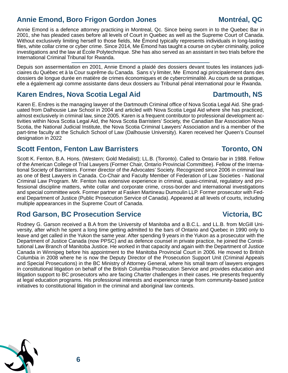# **Annie Emond, Boro Frigon Gordon Jones Montréal, QC**

Annie Emond is a defence attorney practicing in Montreal, Qc. Since being sworn in to the Quebec Bar in 2001, she has pleaded cases before all levels of Court in Quebec as well as the Supreme Court of Canada. Without exclusively limiting herself to those fields, Me Émond typically represents individuals in long-lasting files, white collar crime or cyber crime. Since 2014, Me Émond has taught a course on cyber criminality, police investigations and the law at École Polytechnique. She has also served as an assistant in two trials before the International Criminal Tribunal for Rwanda.

Depuis son assermentation en 2001, Annie Emond a plaidé des dossiers devant toutes les instances judiciaires du Québec et à la Cour suprême du Canada. Sans s'y limiter, Me Emond agi principalement dans des dossiers de longue durée en matière de crimes économiques et de cybercriminalité. Au cours de sa pratique, elle a également agi comme assistante dans deux dossiers au Tribunal pénal international pour le Rwanda.

### **Karen Endres, Nova Scotia Legal Aid Construction Martmouth, NS**

Karen E. Endres is the managing lawyer of the Dartmouth Criminal office of Nova Scotia Legal Aid. She graduated from Dalhousie Law School in 2004 and articled with Nova Scotia Legal Aid where she has practiced, almost exclusively in criminal law, since 2005. Karen is a frequent contributor to professional development activities within Nova Scotia Legal Aid, the Nova Scotia Barristers' Society, the Canadian Bar Association Nova Scotia, the National Judicial Institute, the Nova Scotia Criminal Lawyers' Association and is a member of the part-time faculty at the Schulich School of Law (Dalhousie University). Karen received her Queen's Counsel designation in 2022

#### **Scott Fenton, Fenton Law Barristers Toronto, ON**

Scott K. Fenton, B.A. Hons. (Western; Gold Medalist); LL.B. (Toronto). Called to Ontario bar in 1988. Fellow of the American College of Trial Lawyers (Former Chair, Ontario Provincial Committee). Fellow of the International Society of Barristers. Former director of the Advocates' Society. Recognized since 2006 in criminal law as one of Best Lawyers in Canada. Co-Chair and Faculty Member of Federation of Law Societies - National Criminal Law Program. Mr. Fenton has extensive experience in criminal, quasi-criminal, regulatory and professional discipline matters, white collar and corporate crime, cross-border and international investigations and special committee work. Former partner at Fasken Martineau Dumoulin LLP. Former prosecutor with Federal Department of Justice (Public Prosecution Service of Canada). Appeared at all levels of courts, including multiple appearances in the Supreme Court of Canada.

# **Rod Garson, BC Prosecution Service Victoria, BC**

Rodney G. Garson received a B.A from the University of Manitoba and a B.C.L. and LL.B. from McGill University, after which he spent a long time getting admitted to the bars of Ontario and Quebec in 1990 only to leave and get called in the Yukon the same year. After spending 9 years in the Yukon as a prosecutor with the Department of Justice Canada (now PPSC) and as defence counsel in private practice, he joined the Constitutional Law Branch of Manitoba Justice. He worked in that capacity and again with the Department of Justice Canada in Winnipeg before his appointment to the Manitoba Provincial Court in 2006. He moved to British Columbia in 2008 where he is now the Deputy Director of the Prosecution Support Unit (Criminal Appeals and Special Prosecutions) in the BC Ministry of Attorney General, where his small team of lawyers engages in constitutional litigation on behalf of the British Columbia Prosecution Service and provides education and litigation support to BC prosecutors who are facing *Charter* challenges in their cases. He presents frequently at legal education programs. His professional interests and experience range from community-based justice initiatives to constitutional litigation in the criminal and aboriginal law contexts.

#### **6**

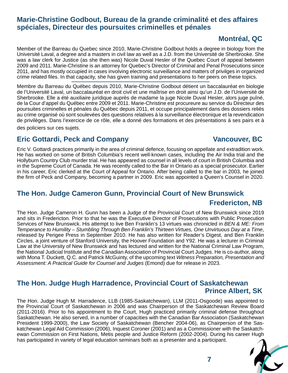# **Marie-Christine Godbout, Bureau de la grande criminalité et des affaires spéciales, Directeur des poursuites criminelles et pénales**

# **Montréal, QC**

Member of the Barreau du Quebec since 2010, Marie-Christine Godbout holds a degree in biology from the Université Laval, a degree and a masters in civil law as well as a J.D. from the Université de Sherbrooke. She was a law clerk for Justice (as she then was) Nicole Duval Hesler of the Quebec Court of appeal between 2009 and 2011. Marie-Christine is an attorney for Quebec's Director of Criminal and Penal Prosecutions since 2011, and has mostly occupied in cases involving electronic surveillance and matters of privilges in organized crime related files. In that capacity, she has given training and presentations to her peers on these topics.

Membre du Barreau du Québec depuis 2010, Marie-Christine Godbout détient un baccalauréat en biologie de l'Université Laval, un baccalauréat en droit civil et une maîtrise en droit ainsi qu'un J.D. de l'Université de Sherbrooke. Elle a été auxiliaire juridique auprès de madame la juge Nicole Duval Hesler, alors juge puîné, de la Cour d'appel du Québec entre 2009 et 2011. Marie-Christine est procureure au service du Directeur des poursuites criminelles et pénales du Québec depuis 2011, et occupe principalement dans des dossiers reliés au crime organisé où sont soulevées des questions relatives à la surveillance électronique et la revendication de privilèges. Dans l'exercice de ce rôle, elle a donné des formations et des présentations à ses pairs et à des policiers sur ces sujets.

**Eric Gottardi, Peck and Company Vancouver, BC**

Eric V. Gottardi practices primarily in the area of criminal defence, focusing on appellate and extradition work. He has worked on some of British Columbia's recent well-known cases, including the Air India trial and the Hollyburn Country Club murder trial. He has appeared as counsel in all levels of court in British Columbia and in the Supreme Court of Canada. He was recently called to the Bar in Ontario as a special prosecutor. Earlier in his career, Eric clerked at the Court of Appeal for Ontario. After being called to the bar in 2003, he joined the firm of Peck and Company, becoming a partner in 2009. Eric was appointed a Queen's Counsel in 2020.

# **The Hon. Judge Cameron Gunn, Provincial Court of New Brunswick Fredericton, NB**

The Hon. Judge Cameron H. Gunn has been a Judge of the Provincial Court of New Brunswick since 2019 and sits in Fredericton. Prior to that he was the Executive Director of Prosecutions with Public Prosecution Services of New Brunswick. His attempt to live Ben Franklin's 13 virtues was chronicled in *BEN & ME: From Temperance to Humility – Stumbling Through Ben Franklin's Thirteen Virtues, One Unvirtuous Day at a Time*, released by Perigee Press in September 2010. He has also written for Reader's Digest, and Ben Franklin Circles, a joint venture of Stanford University, the Hoover Foundation and Y92. He was a lecturer in Criminal Law at the University of New Brunswick and has lectured and written for the National Criminal Law Program, the National Judicial Institute and the Canadian Association of Provincial Court Judges. He is co-author, along with Mona T. Duckett, Q.C. and Patrick McGuinty, of the upcoming text *Witness Preparation, Presentation and Assessment: A Practical Guide for Counsel and Judges* (Emond) due for release in 2023.

### **The Hon. Judge Hugh Harradence, Provincial Court of Saskatchewan Prince Albert, SK**

The Hon. Judge Hugh M. Harradence, LLB (1985-Saskatchewan), LLM (2011-Osgoode) was appointed to the Provincial Court of Saskatchewan in 2006 and was Chairperson of the Saskatchewan Review Board (2011-2016). Prior to his appointment to the Court, Hugh practiced primarily criminal defense throughout Saskatchewan. He also served, in a number of capacities with the Canadian Bar Association (Saskatchewan President 1999-2000), the Law Society of Saskatchewan (Bencher 2004-06), as Chairperson of the Saskatchewan Legal Aid Commission (2006), Inquest Coroner (2001) and as a Commissioner with the Saskatchewan Commission on First Nations, Metis people and Justice Reform (2002-2004). During his career Hugh has participated in variety of legal education seminars both as a presenter and a participant.

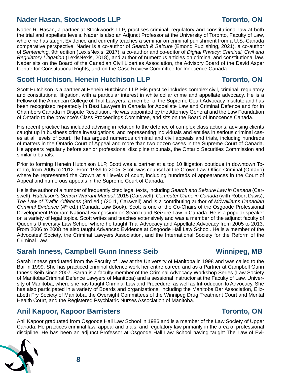# **Nader Hasan, Stockwoods LLP Toronto, ON**

Nader R. Hasan, a partner at Stockwoods LLP, practises criminal, regulatory and constitutional law at both the trial and appellate levels. Nader is also an Adjunct Professor at the University of Toronto, Faculty of Law, where he has taught Evidence and currently teaches a seminar on criminal punishment from a U.S.-Canada comparative perspective. Nader is a co-author of *Search & Seizure* (Emond Publishing, 2021), a co-author of *Sentencing*, 9th edition (LexisNexis, 2017), a co-author and co-editor of *Digital Privacy: Criminal, Civil and Regulatory Litigation* (LexisNexis, 2018), and author of numerous articles on criminal and constitutional law. Nader sits on the Board of the Canadian Civil Liberties Association, the Advisory Board of the David Asper Centre for Constitutional Rights, and on the Case Review Committee for Innocence Canada.

### **Scott Hutchison, Henein Hutchison LLP <b>Toronto**, ON

Scott Hutchison is a partner at Henein Hutchison LLP. His practice includes complex civil, criminal, regulatory and constitutional litigation, with a particular interest in white collar crime and appellate advocacy. He is a Fellow of the American College of Trial Lawyers, a member of the Supreme Court Advocacy Institute and has been recognized repeatedly in Best Lawyers in Canada for Appellate Law and Criminal Defence and for in Chambers Canada in Dispute Resolution. He was appointed by the Attorney General and the Law Foundation of Ontario to the province's Class Proceedings Committee, and sits on the Board of Innocence Canada.

His recent practice has included advising in relation to the defence of complex class actions, advising clients caught up in business crime investigations, and representing individuals and entities in serious criminal cases at all levels of court. He has argued numerous criminal and civil appeals and trials, including hundreds of matters in the Ontario Court of Appeal and more than two dozen cases in the Supreme Court of Canada. He appears regularly before senior professional discipline tribunals, the Ontario Securities Commission and similar tribunals.

Prior to forming Henein Hutchison LLP, Scott was a partner at a top 10 litigation boutique in downtown Toronto, from 2005 to 2012. From 1989 to 2005, Scott was counsel at the Crown Law Office-Criminal (Ontario) where he represented the Crown at all levels of court, including hundreds of appearances in the Court of Appeal and numerous appeals in the Supreme Court of Canada.

He is the author of a number of frequently cited legal texts, including *Search and Seizure Law in Canada* (Carswell); *Hutchison's Search Warrant Manual,* 2015 (Carswell); *Computer Crime in Canada* (with Robert Davis); *The Law of Traffic Offences* (3rd ed.) (2011, Carswell) and is a contributing author of *McWilliams Canadian Criminal Evidence* (4<sup>th</sup> ed.) (Canada Law Book). Scott is one of the Co-Chairs of the Osgoode Professional Development Program National Symposium on Search and Seizure Law in Canada. He is a popular speaker on a variety of legal topics. Scott writes and teaches extensively and was a member of the adjunct faculty of Queen's University Law School where he taught Trial Advocacy and Appellate Advocacy from 2005 to 2013. From 2006 to 2008 he also taught Advanced Evidence at Osgoode Hall Law School. He is a member of the Advocates' Society, the Criminal Lawyers Association, and the International Society for the Reform of the Criminal Law.

# **Sarah Inness, Campbell Gunn Inness Seib Winnipeg, MB**

Sarah Inness graduated from the Faculty of Law at the University of Manitoba in 1998 and was called to the Bar in 1999. She has practiced criminal defence work her entire career, and as a Partner at Campbell Gunn Inness Seib since 2007. Sarah is a faculty member of the Criminal Advocacy Workshop Series (Law Society of Manitoba/Criminal Defence Lawyers of Manitoba) and a sessional instructor at the Faculty of Law, University of Manitoba, where she has taught Criminal Law and Procedure, as well as Introduction to Advocacy. She has also participated in a variety of Boards and organizations, including the Manitoba Bar Association, Elizabeth Fry Society of Manitoba, the Oversight Committees of the Winnipeg Drug Treatment Court and Mental Health Court, and the Registered Psychiatric Nurses Association of Manitoba.

# **Anil Kapoor, Kapoor Barristers Toronto, ON**

Anil Kapoor graduated from Osgoode Hall Law School in 1986 and is a member of the Law Society of Upper Canada. He practices criminal law, appeal and trials, and regulatory law primarily in the area of professional discipline. He has been an adjunct Professor at Osgoode Hall Law School having taught The Law of Evi-



#### **8**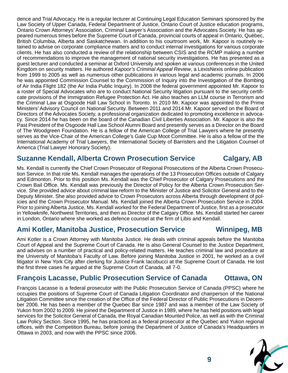dence and Trial Advocacy. He is a regular lecturer at Continuing Legal Education Seminars sponsored by the Law Society of Upper Canada, Federal Department of Justice, Ontario Court of Justice education programs, Ontario Crown Attorneys' Association, Criminal Lawyer's Association and the Advocates Society. He has appeared numerous times before the Supreme Court of Canada, provincial courts of appeal in Ontario, Québec, British Columbia, Alberta and Saskatchewan. In addition to his courtroom work, Mr. Kapoor is routinely retained to advise on corporate compliance matters and to conduct internal investigations for various corporate clients. He has also conducted a review of the relationship between CSIS and the RCMP making a number of recommendations to improve the management of national security investigations. He has presented as a guest lecturer and conducted a seminar at Oxford University and spoken at various conferences in the United Kingdom on security matters. He authored *Kapoor's Criminal Appeal Review*, a LexisNexis online publication from 1999 to 2005 as well as numerous other publications in various legal and academic journals. In 2006 he was appointed Commission Counsel to the Commission of Inquiry into the Investigation of the Bombing of Air India Flight 182 (the Air India Public Inquiry). In 2008 the federal government appointed Mr. Kapoor to a roster of Special Advocates who are to conduct National Security litigation pursuant to the security certificate provisions of the Immigration Refugee Protection Act. He also teaches an LLM course in Terrorism and the Criminal Law at Osgoode Hall Law School in Toronto. In 2010 Mr. Kapoor was appointed to the Prime Ministers' Advisory Council on National Security. Between 2011 and 2014 Mr. Kapoor served on the Board of Directors of the Advocates Society, a professional organization dedicated to promoting excellence in advocacy. Since 2014 he has been on the board of the Canadian Civil Liberties Association. Mr. Kapoor is also the Past President of the Osgoode Hall Law School Alumni Board and presently serves as a Director on the Board of The Woodgreen Foundation. He is a fellow of the American College of Trial Lawyers where he presently serves as the Vice-Chair of the American College's Gale Cup Moot Committee. He is also a fellow of the the International Academy of Trial Lawyers, the International Society of Barristers and the Litigation Counsel of America (Trial Lawyer Honorary Society).

#### **Suzanne Kendall, Alberta Crown Prosecution Service Calgary, AB**

Ms. Kendall is currently the Chief Crown Prosecutor of Regional Prosecutions of the Alberta Crown Prosecution Service. In that role Ms. Kendall manages the operations of the 13 Prosecution Offices outside of Calgary and Edmonton. Prior to this position Ms. Kendall was the Chief Prosecutor of Calgary Prosecutions and the Crown Bail Office. Ms. Kendall was previously the Director of Policy for the Alberta Crown Prosecution Service. She provided advice about criminal law reform to the Minister of Justice and Solicitor General and to the Deputy Minister. She also provided advice to Crown Prosecutors across Alberta through development of policies and the Crown Prosecutor Manual. Ms. Kendall joined the Alberta Crown Prosecution Service in 2004. Prior to joining Alberta Justice, Ms. Kendall worked for the Federal Department of Justice, first as a prosecutor in Yellowknife, Northwest Territories, and then as Director of the Calgary Office. Ms. Kendall started her career in London, Ontario where she worked as defence counsel at the firm of Libis and Kendall.

#### **Ami Kotler, Manitoba Justice, Prosecution Service Winnipeg, MB**

Ami Kotler is a Crown Attorney with Manitoba Justice. He deals with criminal appeals before the Manitoba Court of Appeal and the Supreme Court of Canada. He is also General Counsel to the Justice Department, and advises on a number of practical and policy-related matters. He teaches criminal law and procedure at the University of Manitoba's Faculty of Law. Before joining Manitoba Justice in 2001, he worked as a civil litigator in New York City after clerking for Justice Frank Iacobucci at the Supreme Court of Canada. He lost the first three cases he argued at the Supreme Court of Canada, all 7-0.

### **François Lacasse, Public Prosecution Service of Canada Ctawa, ON**

François Lacasse is a federal prosecutor with the Public Prosecution Service of Canada (PPSC) where he occupies the positions of Supreme Court of Canada Litigation Coordinator and chairperson of the National Litigation Committee since the creation of the Office of the Federal Director of Public Prosecutions in December 2006. He has been a member of the Quebec Bar since 1987 and was a member of the Law Society of Yukon from 2002 to 2009. He joined the Department of Justice in 1989, where he has held positions with legal services for the Solicitor General of Canada, the Royal Canadian Mounted Police, as well as with the Criminal Law Policy Section. Since 1995, he has practiced as a federal prosecutor at the Quebec and Yukon regional offices, with the Competition Bureau, before joining the Department of Justice of Canada's Headquarters in Ottawa in 2003, and now with the PPSC since 2006.



# **9**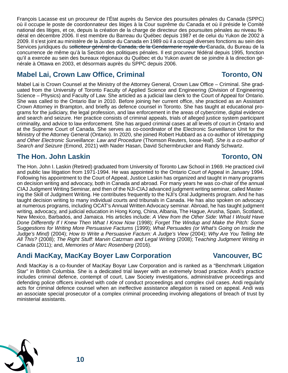François Lacasse est un procureur de l'État auprès du Service des poursuites pénales du Canada (SPPC) où il occupe le poste de coordonnateur des litiges à la Cour suprême du Canada et où il préside le Comité national des litiges, et ce, depuis la création de la charge de directeur des poursuites pénales au niveau fédéral en décembre 2006. Il est membre du Barreau du Québec depuis 1987 et de celui du Yukon de 2002 à 2009. Il s'est joint au ministère de la Justice du Canada en 1989 où il a occupé diverses fonctions au sein des Services juridiques du s<del>olliciteur général du Canada, de la Gendarmerie royale du C</del>anada, du Bureau de la concurrence de même qu'à la Section des politiques pénales. Il est procureur fédéral depuis 1995, fonction qu'il a exercée au sein des bureaux régionaux du Québec et du Yukon avant de se joindre à la direction générale à Ottawa en 2003, et désormais auprès du SPPC depuis 2006.

### **Mabel Lai, Crown Law Office, Criminal <b>Toronto, ON**

Mabel Lai is Crown Counsel at the Ministry of the Attorney General, Crown Law Office – Criminal. She graduated from the University of Toronto Faculty of Applied Science and Engineering (Division of Engineering Science – Physics) and Faculty of Law. She articled as a judicial law clerk to the Court of Appeal for Ontario. She was called to the Ontario Bar in 2010. Before joining her current office, she practiced as an Assistant Crown Attorney in Brampton, and briefly as defence counsel in Toronto. She has taught at educational programs for the judiciary, the legal profession, and law enforcement in the areas of cybercrime, digital evidence and search and seizure. Her practice consists of criminal appeals, trials of alleged justice system participant criminality, and advice to law enforcement. She has argued criminal cases at all levels of court in Ontario and at the Supreme Court of Canada. She serves as co-coordinator of the Electronic Surveillance Unit for the Ministry of the Attorney General (Ontario). In 2020, she joined Robert Hubbard as a co-author of *Wiretapping and Other Electronic Surveillance: Law and Procedure* (Thomson Reuters, loose-leaf). *She is a co-author of Search and Seizure* (Emond, 2021) with Nader Hasan, David Schermbrucker and Randy Schwartz.

# **The Hon. John Laskin The Hon. John Laskin**

The Hon. John I. Laskin (Retired) graduated from University of Toronto Law School in 1969. He practiced civil and public law litigation from 1971-1994. He was appointed to the Ontario Court of Appeal in January 1994. Following his appointment to the Court of Appeal, Justice Laskin has organized and taught in many programs on decision writing and advocacy, both in Canada and abroad. For many years he was co-chair of the annual CIAJ Judgment Writing Seminar, and then of the NJI-CIAJ advanced judgment writing seminar, called Mastering the Skill of Judgment Writing. He contributes frequently to the NJI's Oral Judgments program. And he has taught decision writing to many individual courts and tribunals in Canada. He has also spoken on advocacy at numerous programs, including OCAT's Annual Written Advocacy seminar. Abroad, he has taught judgment writing, advocacy, and judicial education in Hong Kong, China, Albania, The Hague, Arusha, Spain, Scotland, New Mexico, Barbados, and Jamaica. His articles include: *A View from the Other Side: What I Would Have Done Differently If I Knew Then What I Know Now* (1998); *Forget The Windup and Make the Pitch: Some Suggestions for Writing More Persuasive Factums* (1999); *What Persuades (or What's Going on Inside the Judge's Mind)* (2004); *How to Write a Persuasive Factum: A Judge's View* (2004); *Why Are You Telling Me All This?* (2008); *The Right Stuff: Marvin Catzman and Legal Writing* (2008); T*eaching Judgment Writing in Canada* (2011); and, *Memories of Marc Rosenberg* (2016).

# **Andi MacKay, MacKay Boyer Law Corporation Vancouver, BC**

Andi MacKay is a co-founder of MacKay Boyar Law Corporation and is ranked as a "Benchmark Litigation Star" in British Columbia. She is a dedicated trial lawyer with an extremely broad practice. Andi's practice includes criminal defence, contempt of court, Law Society investigations, administrative proceedings and defending police officers involved with code of conduct proceedings and complex civil cases. Andi regularly acts for criminal defence counsel when an ineffective assistance allegation is raised on appeal. Andi was an associate special prosecutor of a complex criminal proceeding involving allegations of breach of trust by ministerial assistants.

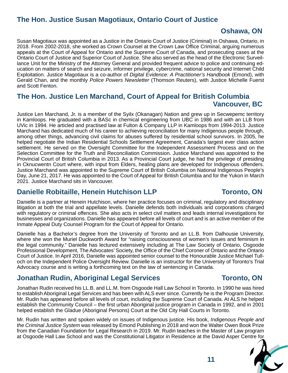# **The Hon. Justice Susan Magotiaux, Ontario Court of Justice**

#### **Oshawa, ON**

Susan Magotiaux was appointed as a Justice in the Ontario Court of Justice (Criminal) in Oshawa, Ontario, in 2018. From 2002-2018, she worked as Crown Counsel at the Crown Law Office Criminal, arguing numerous appeals at the Court of Appeal for Ontario and the Supreme Court of Canada, and prosecuting cases at the Ontario Court of Justice and Superior Court of Justice. She also served as the head of the Electronic Surveillance Unit for the Ministry of the Attorney General and provided frequent advice to police and continuing education on matters of search and seizure, informer privilege, cybercrime, national security and Internet Child Exploitation. Justice Magotiaux is a co-author of *Digital Evidence: A Practitioner's Handbook* (Emond), with Gerald Chan, and the monthly *Police Powers Newsletter* (Thomson Reuters), with Justice Michelle Fuerst and Scott Fenton.

### **The Hon. Justice Len Marchand, Court of Appeal for British Columbia Vancouver, BC**

Justice Len Marchand, Jr. is a member of the Syilx (Okanagan) Nation and grew up in Secwepemc territory in Kamloops. He graduated with a BASc in chemical engineering from UBC in 1986 and with an LLB from UVic in 1994. He articled and practised law at Fulton & Company LLP in Kamloops from 1994-2013. Justice Marchand has dedicated much of his career to achieving reconciliation for many Indigenous people through, among other things, advancing civil claims for abuses suffered by residential school survivors. In 2005, he helped negotiate the Indian Residential Schools Settlement Agreement, Canada's largest ever class action settlement. He served on the Oversight Committee for the Independent Assessment Process and on the Selection Committee for the Truth and Reconciliation Commission. Justice Marchand was appointed to the Provincial Court of British Columbia in 2013. As a Provincial Court judge, he had the privilege of presiding in Cknucwentn Court where, with input from Elders, healing plans are developed for Indigenous offenders. Justice Marchand was appointed to the Supreme Court of British Columbia on National Indigenous People's Day, June 21, 2017. He was appointed to the Court of Appeal for British Columbia and for the Yukon in March 2021. Justice Marchand sits in Vancouver.

### **Danielle Robitaille, Henein Hutchison LLP Toronto, ON**

Danielle is a partner at Henein Hutchison, where her practice focuses on criminal, regulatory and disciplinary litigation at both the trial and appellate levels. Danielle defends both individuals and corporations charged with regulatory or criminal offences. She also acts in select civil matters and leads internal investigations for businesses and organizations. Danielle has appeared before all levels of court and is an active member of the Inmate Appeal Duty Counsel Program for the Court of Appeal for Ontario.

Danielle has a Bachelor's degree from the University of Toronto and an LL.B. from Dalhousie University, where she won the Muriel Duckworth Award for "raising consciousness of women's issues and feminism in the legal community." Danielle has lectured extensively including at The Law Society of Ontario, Osgoode Professional Development, The Advocates' Society, the Office of the Chief Coroner of Ontario and the Ontario Court of Justice. In April 2016, Danielle was appointed senior counsel to the Honourable Justice Michael Tulloch on the Independent Police Oversight Review. Danielle is an instructor for the University of Toronto's Trial Advocacy course and is writing a forthcoming text on the law of sentencing in Canada.

# **Jonathan Rudin, Aboriginal Legal Services Toronto, ON**

Jonathan Rudin received his LL.B. and LL.M. from Osgoode Hall Law School in Toronto. In 1990 he was hired to establish Aboriginal Legal Services and has been with ALS ever since. Currently he is the Program Director. Mr. Rudin has appeared before all levels of court, including the Supreme Court of Canada. At ALS he helped establish the Community Council – the first urban Aboriginal justice program in Canada in 1992, and in 2001 helped establish the Gladue (Aboriginal Persons) Court at the Old City Hall Courts in Toronto.

Mr. Rudin has written and spoken widely on issues of Indigenous justice. His book, *Indigenous People and the Criminal Justice System* was released by Emond Publishing in 2018 and won the Walter Owen Book Prize from the Canadian Foundation for Legal Research in 2019. Mr. Rudin teaches in the Master of Law program at Osgoode Hall Law School and was the Constitutional Litigator in Residence at the David Asper Centre for